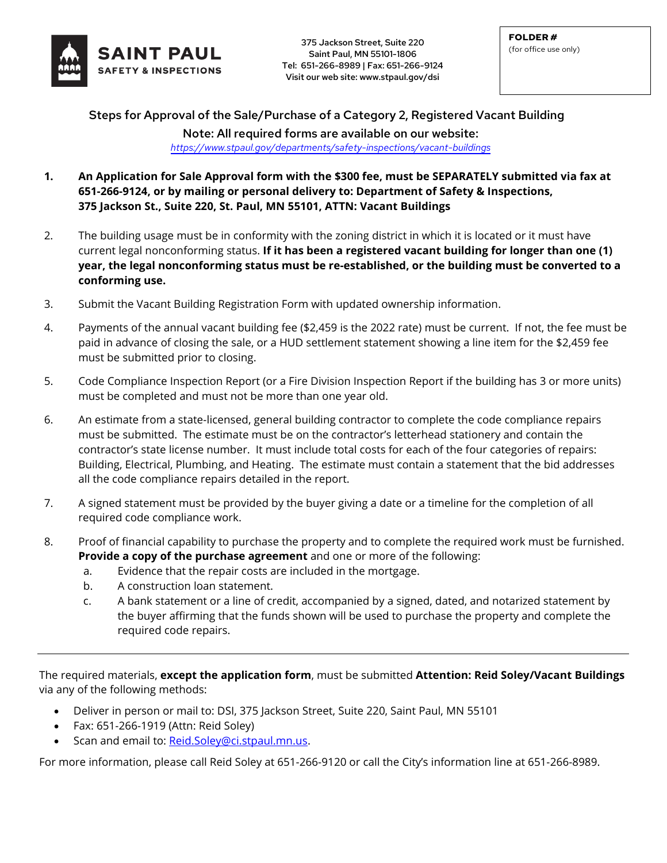

375 Jackson Street, Suite 220<br>
Saint Paul MN E5101 1906 Saint Paul, MN 55101-1806 Tel: 651-266-8989 | Fax: 651-266-9124 Visit our web site: www.stpaul.gov/dsi

Steps for Approval of the Sale/Purchase of a Category 2, Registered Vacant Building Note: All required forms are available on our website: *<https://www.stpaul.gov/departments/safety-inspections/vacant-buildings>*

- **1. An Application for Sale Approval form with the \$300 fee, must be SEPARATELY submitted via fax at 651-266-9124, or by mailing or personal delivery to: Department of Safety & Inspections, 375 Jackson St., Suite 220, St. Paul, MN 55101, ATTN: Vacant Buildings**
- 2. The building usage must be in conformity with the zoning district in which it is located or it must have current legal nonconforming status. **If it has been a registered vacant building for longer than one (1) year, the legal nonconforming status must be re-established, or the building must be converted to a conforming use.**
- 3. Submit the Vacant Building Registration Form with updated ownership information.
- 4. Payments of the annual vacant building fee (\$2,459 is the 2022 rate) must be current. If not, the fee must be paid in advance of closing the sale, or a HUD settlement statement showing a line item for the \$2,459 fee must be submitted prior to closing.
- 5. Code Compliance Inspection Report (or a Fire Division Inspection Report if the building has 3 or more units) must be completed and must not be more than one year old.
- 6. An estimate from a state-licensed, general building contractor to complete the code compliance repairs must be submitted. The estimate must be on the contractor's letterhead stationery and contain the contractor's state license number. It must include total costs for each of the four categories of repairs: Building, Electrical, Plumbing, and Heating. The estimate must contain a statement that the bid addresses all the code compliance repairs detailed in the report.
- 7. A signed statement must be provided by the buyer giving a date or a timeline for the completion of all required code compliance work.
- 8. Proof of financial capability to purchase the property and to complete the required work must be furnished. **Provide a copy of the purchase agreement** and one or more of the following:
	- a. Evidence that the repair costs are included in the mortgage.
	- b. A construction loan statement.
	- c. A bank statement or a line of credit, accompanied by a signed, dated, and notarized statement by the buyer affirming that the funds shown will be used to purchase the property and complete the required code repairs.

The required materials, **except the application form**, must be submitted **Attention: Reid Soley/Vacant Buildings** via any of the following methods:

- Deliver in person or mail to: DSI, 375 Jackson Street, Suite 220, Saint Paul, MN 55101
- Fax: 651-266-1919 (Attn: Reid Soley)
- Scan and email to: [Reid.Soley@ci.stpaul.mn.us.](mailto:Reid.Soley@ci.stpaul.mn.us)

For more information, please call Reid Soley at 651-266-9120 or call the City's information line at 651-266-8989.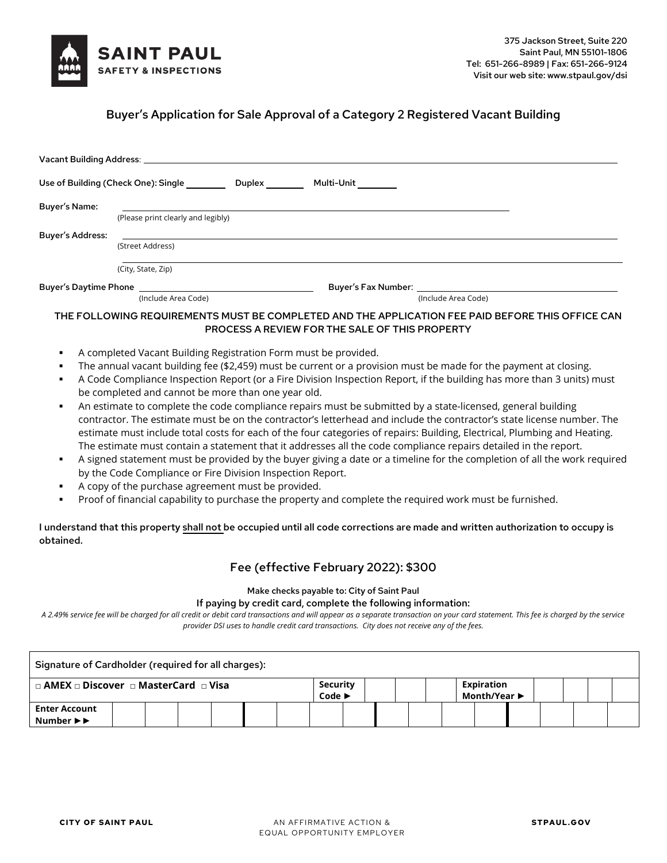

# Buyer's Application for Sale Approval of a Category 2 Registered Vacant Building

|                         | Vacant Building Address: Washington and Service and Service and Service and Service and Service and Service and |                                                       |                                                                                                                                                                                                                                     |  |
|-------------------------|-----------------------------------------------------------------------------------------------------------------|-------------------------------------------------------|-------------------------------------------------------------------------------------------------------------------------------------------------------------------------------------------------------------------------------------|--|
|                         |                                                                                                                 | Multi-Unit                                            |                                                                                                                                                                                                                                     |  |
| <b>Buyer's Name:</b>    |                                                                                                                 |                                                       |                                                                                                                                                                                                                                     |  |
|                         | (Please print clearly and legibly)                                                                              |                                                       |                                                                                                                                                                                                                                     |  |
| <b>Buyer's Address:</b> |                                                                                                                 |                                                       |                                                                                                                                                                                                                                     |  |
|                         | (Street Address)                                                                                                |                                                       |                                                                                                                                                                                                                                     |  |
|                         | (City, State, Zip)                                                                                              |                                                       |                                                                                                                                                                                                                                     |  |
|                         | Buyer's Daytime Phone <b>State Server Server Server</b>                                                         |                                                       | <b>Buyer's Fax Number:</b> The control of the control of the control of the control of the control of the control of the control of the control of the control of the control of the control of the control of the control of the c |  |
|                         | (Include Area Code)                                                                                             |                                                       | (Include Area Code)                                                                                                                                                                                                                 |  |
|                         |                                                                                                                 |                                                       | THE FOLLOWING REQUIREMENTS MUST BE COMPLETED AND THE APPLICATION FEE PAID BEFORE THIS OFFICE CAN                                                                                                                                    |  |
|                         |                                                                                                                 | <b>PROCESS A REVIEW FOR THE SALE OF THIS PROPERTY</b> |                                                                                                                                                                                                                                     |  |
|                         | A completed Vacant Building Registration Form must be provided.                                                 |                                                       |                                                                                                                                                                                                                                     |  |

- The annual vacant building fee (\$2,459) must be current or a provision must be made for the payment at closing.
- A Code Compliance Inspection Report (or a Fire Division Inspection Report, if the building has more than 3 units) must be completed and cannot be more than one year old.
- An estimate to complete the code compliance repairs must be submitted by a state-licensed, general building contractor. The estimate must be on the contractor's letterhead and include the contractor's state license number. The estimate must include total costs for each of the four categories of repairs: Building, Electrical, Plumbing and Heating. The estimate must contain a statement that it addresses all the code compliance repairs detailed in the report.
- A signed statement must be provided by the buyer giving a date or a timeline for the completion of all the work required by the Code Compliance or Fire Division Inspection Report.
- A copy of the purchase agreement must be provided.
- Proof of financial capability to purchase the property and complete the required work must be furnished.

I understand that this property shall not be occupied until all code corrections are made and written authorization to occupy is obtained.

## Fee (effective February 2022): \$300

# Make checks payable to: City of Saint Paul

#### If paying by credit card, complete the following information:

*A 2.49% service fee will be charged for all credit or debit card transactions and will appear as a separate transaction on your card statement. This fee is charged by the service provider DSI uses to handle credit card transactions. City does not receive any of the fees.*

| Signature of Cardholder (required for all charges):                        |  |  |                                        |  |  |                                                       |  |  |  |  |  |  |
|----------------------------------------------------------------------------|--|--|----------------------------------------|--|--|-------------------------------------------------------|--|--|--|--|--|--|
| $\Box$ AMEX $\Box$ Discover $\Box$ MasterCard $\Box$ Visa                  |  |  | Security<br>Code $\blacktriangleright$ |  |  | <b>Expiration</b><br>Month/Year $\blacktriangleright$ |  |  |  |  |  |  |
| <b>Enter Account</b><br>Number $\blacktriangleright$ $\blacktriangleright$ |  |  |                                        |  |  |                                                       |  |  |  |  |  |  |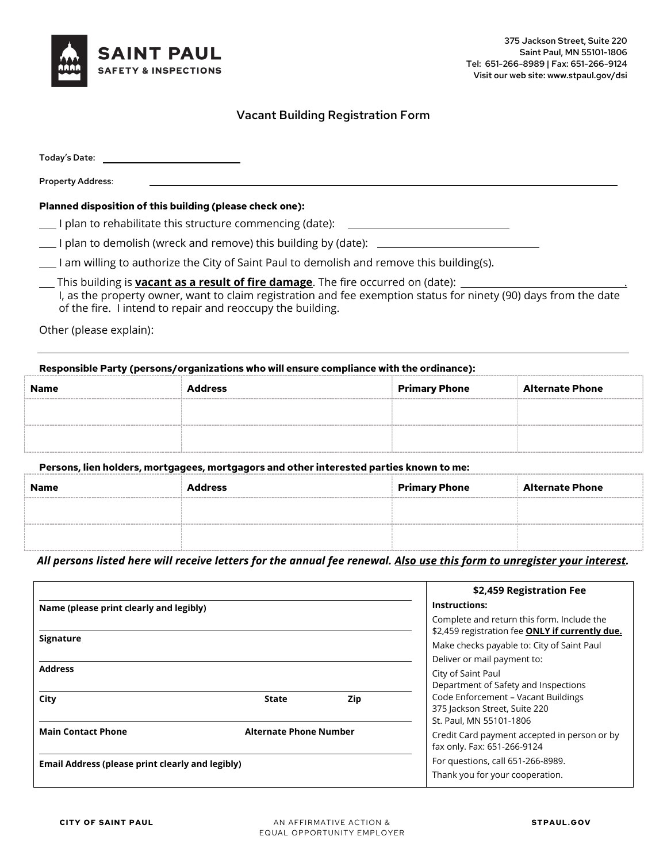

## Vacant Building Registration Form

| Today's Date:                                                                                                                                                                                                                                                              |
|----------------------------------------------------------------------------------------------------------------------------------------------------------------------------------------------------------------------------------------------------------------------------|
| <b>Property Address:</b>                                                                                                                                                                                                                                                   |
| Planned disposition of this building (please check one):                                                                                                                                                                                                                   |
| I plan to rehabilitate this structure commencing (date):                                                                                                                                                                                                                   |
| I plan to demolish (wreck and remove) this building by (date):                                                                                                                                                                                                             |
| I am willing to authorize the City of Saint Paul to demolish and remove this building(s).                                                                                                                                                                                  |
| This building is <b>yacant as a result of fire damage</b> . The fire occurred on (date):<br>I, as the property owner, want to claim registration and fee exemption status for ninety (90) days from the date<br>of the fire. I intend to repair and reoccupy the building. |

Other (please explain):

# **Responsible Party (persons/organizations who will ensure compliance with the ordinance): Name Address Primary Phone Alternate Phone**

#### **Persons, lien holders, mortgagees, mortgagors and other interested parties known to me:**

| <b>Name</b> | <b>Address</b> | <b>Primary Phone</b> | <b>Alternate Phone</b> |
|-------------|----------------|----------------------|------------------------|
|             |                |                      |                        |
|             |                |                      |                        |

*All persons listed here will receive letters for the annual fee renewal. Also use this form to unregister your interest.*

|                                                         |                               | \$2,459 Registration Fee                                                                                                                    |
|---------------------------------------------------------|-------------------------------|---------------------------------------------------------------------------------------------------------------------------------------------|
| Name (please print clearly and legibly)                 |                               | Instructions:                                                                                                                               |
| <b>Signature</b>                                        |                               | Complete and return this form. Include the<br>\$2,459 registration fee ONLY if currently due.<br>Make checks payable to: City of Saint Paul |
|                                                         |                               | Deliver or mail payment to:                                                                                                                 |
| <b>Address</b>                                          |                               | City of Saint Paul                                                                                                                          |
|                                                         |                               | Department of Safety and Inspections                                                                                                        |
| City                                                    | Zip<br><b>State</b>           | Code Enforcement - Vacant Buildings<br>375 Jackson Street, Suite 220<br>St. Paul, MN 55101-1806                                             |
| <b>Main Contact Phone</b>                               | <b>Alternate Phone Number</b> | Credit Card payment accepted in person or by<br>fax only. Fax: 651-266-9124                                                                 |
| <b>Email Address (please print clearly and legibly)</b> |                               | For questions, call 651-266-8989.                                                                                                           |
|                                                         |                               | Thank you for your cooperation.                                                                                                             |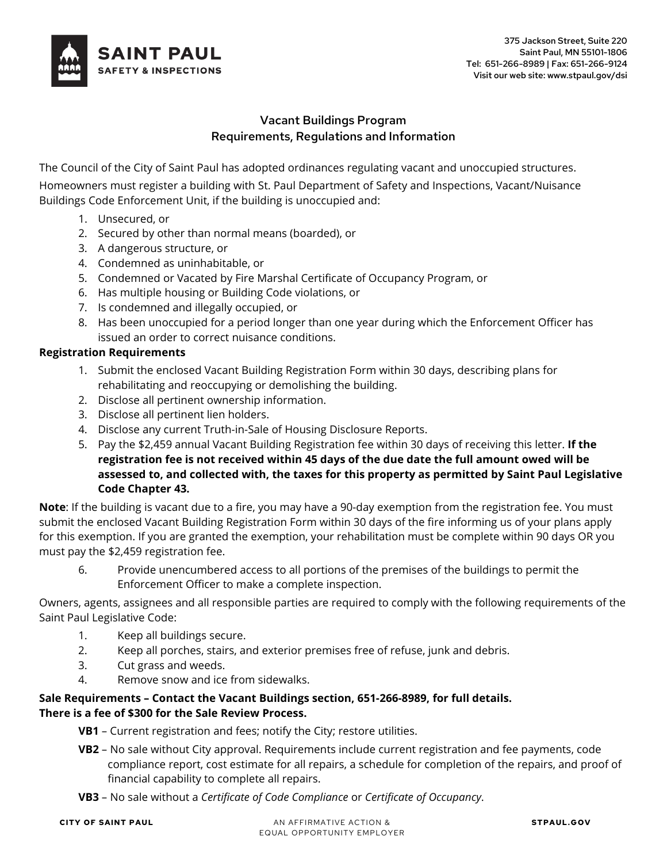

# Vacant Buildings Program Requirements, Regulations and Information

The Council of the City of Saint Paul has adopted ordinances regulating vacant and unoccupied structures. Homeowners must register a building with St. Paul Department of Safety and Inspections, Vacant/Nuisance Buildings Code Enforcement Unit, if the building is unoccupied and:

- 1. Unsecured, or
- 2. Secured by other than normal means (boarded), or
- 3. A dangerous structure, or
- 4. Condemned as uninhabitable, or
- 5. Condemned or Vacated by Fire Marshal Certificate of Occupancy Program, or
- 6. Has multiple housing or Building Code violations, or
- 7. Is condemned and illegally occupied, or
- 8. Has been unoccupied for a period longer than one year during which the Enforcement Officer has issued an order to correct nuisance conditions.

## **Registration Requirements**

- 1. Submit the enclosed Vacant Building Registration Form within 30 days, describing plans for rehabilitating and reoccupying or demolishing the building.
- 2. Disclose all pertinent ownership information.
- 3. Disclose all pertinent lien holders.
- 4. Disclose any current Truth-in-Sale of Housing Disclosure Reports.
- 5. Pay the \$2,459 annual Vacant Building Registration fee within 30 days of receiving this letter. **If the registration fee is not received within 45 days of the due date the full amount owed will be assessed to, and collected with, the taxes for this property as permitted by Saint Paul Legislative Code Chapter 43.**

**Note**: If the building is vacant due to a fire, you may have a 90-day exemption from the registration fee. You must submit the enclosed Vacant Building Registration Form within 30 days of the fire informing us of your plans apply for this exemption. If you are granted the exemption, your rehabilitation must be complete within 90 days OR you must pay the \$2,459 registration fee.

6. Provide unencumbered access to all portions of the premises of the buildings to permit the Enforcement Officer to make a complete inspection.

Owners, agents, assignees and all responsible parties are required to comply with the following requirements of the Saint Paul Legislative Code:

- 1. Keep all buildings secure.
- 2. Keep all porches, stairs, and exterior premises free of refuse, junk and debris.
- 3. Cut grass and weeds.
- 4. Remove snow and ice from sidewalks.

# **Sale Requirements – Contact the Vacant Buildings section, 651-266-8989, for full details. There is a fee of \$300 for the Sale Review Process.**

- **VB1**  Current registration and fees; notify the City; restore utilities.
- **VB2**  No sale without City approval. Requirements include current registration and fee payments, code compliance report, cost estimate for all repairs, a schedule for completion of the repairs, and proof of financial capability to complete all repairs.
- **VB3**  No sale without a *Certificate of Code Compliance* or *Certificate of Occupancy*.